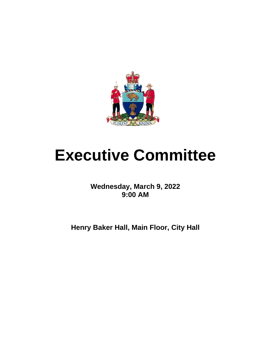

# **Executive Committee**

**Wednesday, March 9, 2022 9:00 AM**

**Henry Baker Hall, Main Floor, City Hall**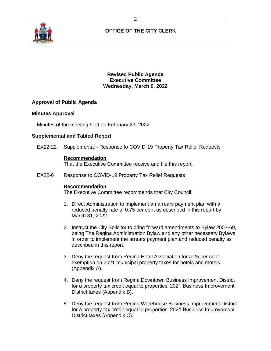

# **OFFICE OF THE CITY CLERK**

**Revised Public Agenda Executive Committee Wednesday, March 9, 2022**

# **Approval of Public Agenda**

## **Minutes Approval**

Minutes of the meeting held on February 23, 2022

## **Supplemental and Tabled Report**

EX22-22 Supplemental - Response to COVID-19 Property Tax Relief Requests

## **Recommendation**

That the Executive Committee receive and file this report.

EX22-6 Response to COVID-19 Property Tax Relief Requests

### **Recommendation**

The Executive Committee recommends that City Council:

- 1. Direct Administration to implement an arrears payment plan with a reduced penalty rate of 0.75 per cent as described in this report by March 31, 2022.
- 2. Instruct the City Solicitor to bring forward amendments to Bylaw 2003-69, being The Regina Administration Bylaw and any other necessary Bylaws in order to implement the arrears payment plan and reduced penalty as described in this report.
- 3. Deny the request from Regina Hotel Association for a 25 per cent exemption on 2021 municipal property taxes for hotels and motels (Appendix A).
- 4. Deny the request from Regina Downtown Business Improvement District for a property tax credit equal to properties' 2021 Business Improvement District taxes (Appendix B).
- 5. Deny the request from Regina Warehouse Business Improvement District for a property tax credit equal to properties' 2021 Business Improvement District taxes (Appendix C).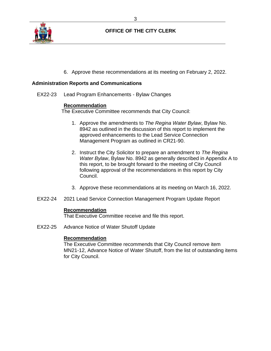

# **OFFICE OF THE CITY CLERK**

6. Approve these recommendations at its meeting on February 2, 2022.

## **Administration Reports and Communications**

EX22-23 Lead Program Enhancements - Bylaw Changes

## **Recommendation**

The Executive Committee recommends that City Council:

- 1. Approve the amendments to *The Regina Water Bylaw*, Bylaw No. 8942 as outlined in the discussion of this report to implement the approved enhancements to the Lead Service Connection Management Program as outlined in CR21-90.
- 2. Instruct the City Solicitor to prepare an amendment to *The Regina Water Bylaw*, Bylaw No. 8942 as generally described in Appendix A to this report, to be brought forward to the meeting of City Council following approval of the recommendations in this report by City Council.
- 3. Approve these recommendations at its meeting on March 16, 2022.
- EX22-24 2021 Lead Service Connection Management Program Update Report

### **Recommendation**

That Executive Committee receive and file this report.

EX22-25 Advance Notice of Water Shutoff Update

## **Recommendation**

The Executive Committee recommends that City Council remove item MN21-12, Advance Notice of Water Shutoff, from the list of outstanding items for City Council.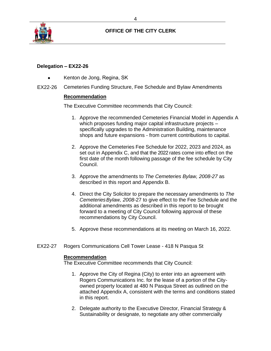

# **OFFICE OF THE CITY CLERK**

# **Delegation – EX22-26**

- Kenton de Jong, Regina, SK
- EX22-26 Cemeteries Funding Structure, Fee Schedule and Bylaw Amendments

# **Recommendation**

The Executive Committee recommends that City Council:

- 1. Approve the recommended Cemeteries Financial Model in Appendix A which proposes funding major capital infrastructure projects specifically upgrades to the Administration Building, maintenance shops and future expansions - from current contributions to capital.
- 2. Approve the Cemeteries Fee Schedule for 2022, 2023 and 2024, as set out in Appendix C, and that the 2022 rates come into effect on the first date of the month following passage of the fee schedule by City Council.
- 3. Approve the amendments to *The Cemeteries Bylaw, 2008-27* as described in this report and Appendix B.
- 4. Direct the City Solicitor to prepare the necessary amendments to *The Cemeteries Bylaw, 2008-*27 to give effect to the Fee Schedule and the additional amendments as described in this report to be brought forward to a meeting of City Council following approval of these recommendations by City Council.
- 5. Approve these recommendations at its meeting on March 16, 2022.
- EX22-27 Rogers Communications Cell Tower Lease 418 N Pasqua St

## **Recommendation**

The Executive Committee recommends that City Council:

- 1. Approve the City of Regina (City) to enter into an agreement with Rogers Communications Inc. for the lease of a portion of the Cityowned property located at 480 N Pasqua Street as outlined on the attached Appendix A, consistent with the terms and conditions stated in this report.
- 2. Delegate authority to the Executive Director, Financial Strategy & Sustainability or designate, to negotiate any other commercially